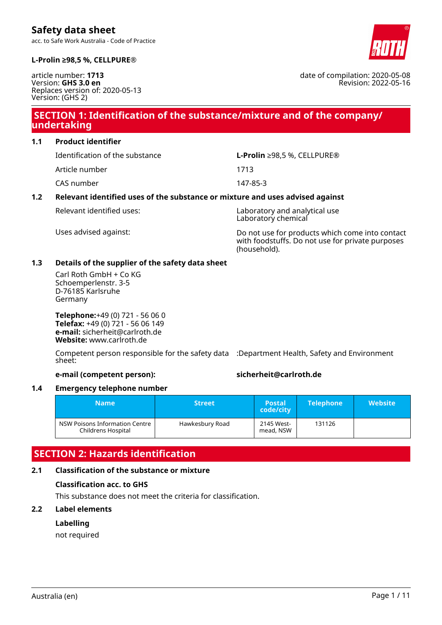acc. to Safe Work Australia - Code of Practice



date of compilation: 2020-05-08

Revision: 2022-05-16

#### **L-Prolin ≥98,5 %, CELLPURE®**

article number: **1713** Version: **GHS 3.0 en** Replaces version of: 2020-05-13 Version: (GHS 2)

# **SECTION 1: Identification of the substance/mixture and of the company/ undertaking**

**1.1 Product identifier**

Article number 1713

CAS number 147-85-3

Identification of the substance **L-Prolin** ≥98,5 %, CELLPURE®

### **1.2 Relevant identified uses of the substance or mixture and uses advised against**

Relevant identified uses: Laboratory and analytical use Laboratory chemical

Uses advised against: Do not use for products which come into contact with foodstuffs. Do not use for private purposes (household).

#### **1.3 Details of the supplier of the safety data sheet**

Carl Roth GmbH + Co KG Schoemperlenstr. 3-5 D-76185 Karlsruhe Germany

**Telephone:**+49 (0) 721 - 56 06 0 **Telefax:** +49 (0) 721 - 56 06 149 **e-mail:** sicherheit@carlroth.de **Website:** www.carlroth.de

Competent person responsible for the safety data :Department Health, Safety and Environment sheet:

**e-mail (competent person): sicherheit@carlroth.de**

#### **1.4 Emergency telephone number**

| <b>Name</b>                                          | <b>Street</b> ' | <b>Postal</b><br>code/city | <b>Telephone</b> | <b>Website</b> |
|------------------------------------------------------|-----------------|----------------------------|------------------|----------------|
| NSW Poisons Information Centre<br>Childrens Hospital | Hawkesbury Road | 2145 West-<br>mead, NSW    | 131126           |                |

# **SECTION 2: Hazards identification**

#### **2.1 Classification of the substance or mixture**

#### **Classification acc. to GHS**

This substance does not meet the criteria for classification.

#### **2.2 Label elements**

#### **Labelling**

not required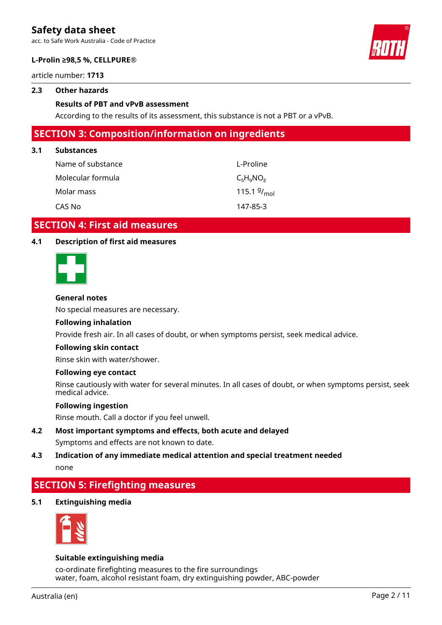acc. to Safe Work Australia - Code of Practice



#### **L-Prolin ≥98,5 %, CELLPURE®**

article number: **1713**

#### **2.3 Other hazards**

#### **Results of PBT and vPvB assessment**

According to the results of its assessment, this substance is not a PBT or a vPvB.

### **SECTION 3: Composition/information on ingredients**

#### **3.1 Substances**

| Name of substance | L-Proline               |
|-------------------|-------------------------|
| Molecular formula | $C_5H_9NO_2$            |
| Molar mass        | 115.1 $9/_{\text{mol}}$ |
| CAS No            | 147-85-3                |

### **SECTION 4: First aid measures**

#### **4.1 Description of first aid measures**



#### **General notes**

No special measures are necessary.

#### **Following inhalation**

Provide fresh air. In all cases of doubt, or when symptoms persist, seek medical advice.

#### **Following skin contact**

Rinse skin with water/shower.

#### **Following eye contact**

Rinse cautiously with water for several minutes. In all cases of doubt, or when symptoms persist, seek medical advice.

#### **Following ingestion**

Rinse mouth. Call a doctor if you feel unwell.

- **4.2 Most important symptoms and effects, both acute and delayed** Symptoms and effects are not known to date.
- **4.3 Indication of any immediate medical attention and special treatment needed** none

# **SECTION 5: Firefighting measures**

**5.1 Extinguishing media**



#### **Suitable extinguishing media**

co-ordinate firefighting measures to the fire surroundings water, foam, alcohol resistant foam, dry extinguishing powder, ABC-powder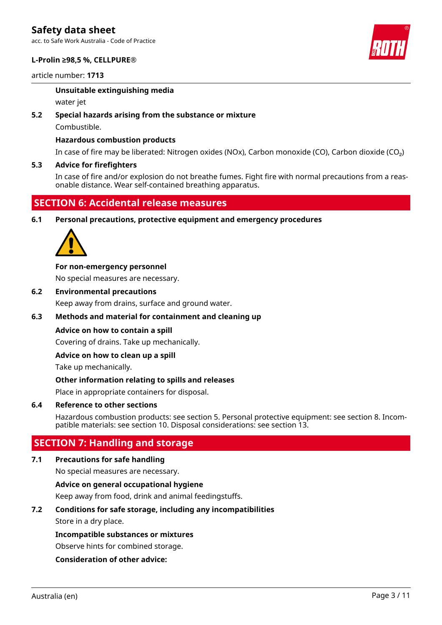acc. to Safe Work Australia - Code of Practice

#### **L-Prolin ≥98,5 %, CELLPURE®**

article number: **1713**

#### **Unsuitable extinguishing media**

water jet

#### **5.2 Special hazards arising from the substance or mixture**

Combustible.

#### **Hazardous combustion products**

In case of fire may be liberated: Nitrogen oxides (NOx), Carbon monoxide (CO), Carbon dioxide (CO₂)

#### **5.3 Advice for firefighters**

In case of fire and/or explosion do not breathe fumes. Fight fire with normal precautions from a reasonable distance. Wear self-contained breathing apparatus.

# **SECTION 6: Accidental release measures**

**6.1 Personal precautions, protective equipment and emergency procedures**



**For non-emergency personnel**

No special measures are necessary.

**6.2 Environmental precautions**

Keep away from drains, surface and ground water.

#### **6.3 Methods and material for containment and cleaning up**

#### **Advice on how to contain a spill**

Covering of drains. Take up mechanically.

#### **Advice on how to clean up a spill**

Take up mechanically.

#### **Other information relating to spills and releases**

Place in appropriate containers for disposal.

#### **6.4 Reference to other sections**

Hazardous combustion products: see section 5. Personal protective equipment: see section 8. Incompatible materials: see section 10. Disposal considerations: see section 13.

### **SECTION 7: Handling and storage**

### **7.1 Precautions for safe handling**

No special measures are necessary.

### **Advice on general occupational hygiene**

Keep away from food, drink and animal feedingstuffs.

### **7.2 Conditions for safe storage, including any incompatibilities**

Store in a dry place.

### **Incompatible substances or mixtures**

Observe hints for combined storage.

### **Consideration of other advice:**

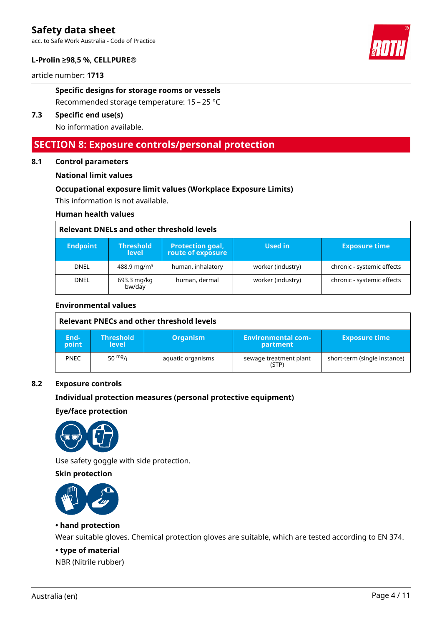acc. to Safe Work Australia - Code of Practice

#### **L-Prolin ≥98,5 %, CELLPURE®**

article number: **1713**

#### **Specific designs for storage rooms or vessels**

Recommended storage temperature: 15 – 25 °C

#### **7.3 Specific end use(s)**

No information available.

### **SECTION 8: Exposure controls/personal protection**

#### **8.1 Control parameters**

#### **National limit values**

#### **Occupational exposure limit values (Workplace Exposure Limits)**

This information is not available.

#### **Human health values**

#### **Relevant DNELs and other threshold levels**

| <b>Endpoint</b> | <b>Threshold</b><br><b>level</b> | <b>Protection goal,</b><br>route of exposure | Used in           | <b>Exposure time</b>       |
|-----------------|----------------------------------|----------------------------------------------|-------------------|----------------------------|
| <b>DNEL</b>     | $488.9$ mg/m <sup>3</sup>        | human, inhalatory                            | worker (industry) | chronic - systemic effects |
| <b>DNEL</b>     | 693.3 mg/kg<br>bw/day            | human, dermal                                | worker (industry) | chronic - systemic effects |

#### **Environmental values**

|               | Relevant PNECs and other threshold levels |                   |                                  |                              |  |
|---------------|-------------------------------------------|-------------------|----------------------------------|------------------------------|--|
| End-<br>point | <b>Threshold</b><br><b>level</b>          | <b>Organism</b>   | 'Environmental com-.<br>partment | <b>Exposure time</b>         |  |
| <b>PNEC</b>   | 50 $mg/1$                                 | aquatic organisms | sewage treatment plant<br>(STP)  | short-term (single instance) |  |

#### **8.2 Exposure controls**

#### **Individual protection measures (personal protective equipment)**

#### **Eye/face protection**



Use safety goggle with side protection.

#### **Skin protection**



#### **• hand protection**

Wear suitable gloves. Chemical protection gloves are suitable, which are tested according to EN 374.

#### **• type of material**

NBR (Nitrile rubber)

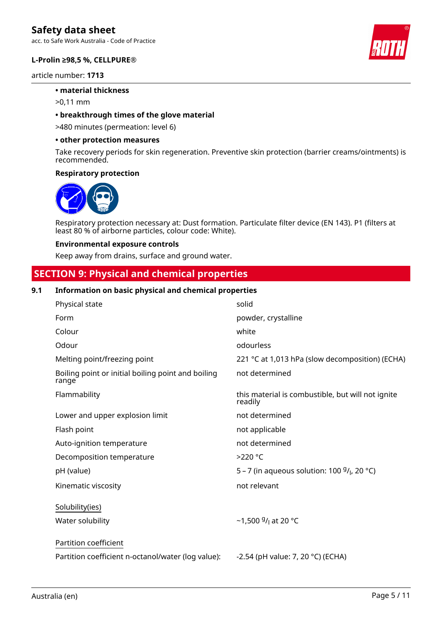acc. to Safe Work Australia - Code of Practice

#### **L-Prolin ≥98,5 %, CELLPURE®**

article number: **1713**

#### **• material thickness**

>0,11 mm

#### **• breakthrough times of the glove material**

>480 minutes (permeation: level 6)

#### **• other protection measures**

Take recovery periods for skin regeneration. Preventive skin protection (barrier creams/ointments) is recommended.

#### **Respiratory protection**



Respiratory protection necessary at: Dust formation. Particulate filter device (EN 143). P1 (filters at least 80 % of airborne particles, colour code: White).

#### **Environmental exposure controls**

Keep away from drains, surface and ground water.

# **SECTION 9: Physical and chemical properties**

#### **9.1 Information on basic physical and chemical properties**

| Physical state                                              | solid                                                        |
|-------------------------------------------------------------|--------------------------------------------------------------|
| Form                                                        | powder, crystalline                                          |
| Colour                                                      | white                                                        |
| Odour                                                       | odourless                                                    |
| Melting point/freezing point                                | 221 °C at 1,013 hPa (slow decomposition) (ECHA)              |
| Boiling point or initial boiling point and boiling<br>range | not determined                                               |
| Flammability                                                | this material is combustible, but will not ignite<br>readily |
| Lower and upper explosion limit                             | not determined                                               |
| Flash point                                                 | not applicable                                               |
| Auto-ignition temperature                                   | not determined                                               |
| Decomposition temperature                                   | $>220$ °C                                                    |
| pH (value)                                                  | 5 – 7 (in aqueous solution: 100 $9/1$ , 20 °C)               |
| Kinematic viscosity                                         | not relevant                                                 |
| Solubility(ies)                                             |                                                              |
| Water solubility                                            | ~1,500 $9/1$ at 20 °C                                        |
| Partition coefficient                                       |                                                              |
| Partition coefficient n-octanol/water (log value):          | -2.54 (pH value: 7, 20 °C) (ECHA)                            |

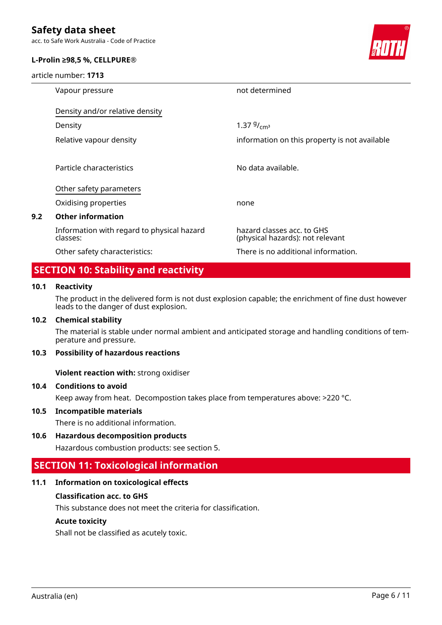acc. to Safe Work Australia - Code of Practice

#### **L-Prolin ≥98,5 %, CELLPURE®**

article number: **1713**



|     | Vapour pressure                                        | not determined                                                 |
|-----|--------------------------------------------------------|----------------------------------------------------------------|
|     | Density and/or relative density                        |                                                                |
|     | Density                                                | 1.37 $9/_{cm^3}$                                               |
|     | Relative vapour density                                | information on this property is not available                  |
|     | Particle characteristics                               | No data available.                                             |
|     | Other safety parameters                                |                                                                |
|     | Oxidising properties                                   | none                                                           |
| 9.2 | <b>Other information</b>                               |                                                                |
|     | Information with regard to physical hazard<br>classes: | hazard classes acc. to GHS<br>(physical hazards): not relevant |
|     | Other safety characteristics:                          | There is no additional information.                            |

# **SECTION 10: Stability and reactivity**

#### **10.1 Reactivity**

The product in the delivered form is not dust explosion capable; the enrichment of fine dust however leads to the danger of dust explosion.

#### **10.2 Chemical stability**

The material is stable under normal ambient and anticipated storage and handling conditions of temperature and pressure.

#### **10.3 Possibility of hazardous reactions**

**Violent reaction with:** strong oxidiser

#### **10.4 Conditions to avoid**

Keep away from heat. Decompostion takes place from temperatures above: >220 °C.

#### **10.5 Incompatible materials**

There is no additional information.

#### **10.6 Hazardous decomposition products**

Hazardous combustion products: see section 5.

# **SECTION 11: Toxicological information**

#### **11.1 Information on toxicological effects**

#### **Classification acc. to GHS**

This substance does not meet the criteria for classification.

#### **Acute toxicity**

Shall not be classified as acutely toxic.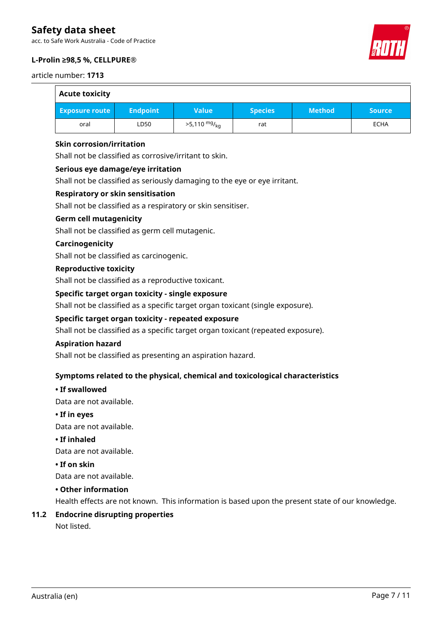acc. to Safe Work Australia - Code of Practice

#### **L-Prolin ≥98,5 %, CELLPURE®**

article number: **1713**

| <b>Acute toxicity</b> |                 |                        |                |               |               |
|-----------------------|-----------------|------------------------|----------------|---------------|---------------|
| <b>Exposure route</b> | <b>Endpoint</b> | <b>Value</b>           | <b>Species</b> | <b>Method</b> | <b>Source</b> |
| oral                  | LD50            | $>5,110 \frac{mg}{ka}$ | rat            |               | <b>ECHA</b>   |

#### **Skin corrosion/irritation**

Shall not be classified as corrosive/irritant to skin.

#### **Serious eye damage/eye irritation**

Shall not be classified as seriously damaging to the eye or eye irritant.

#### **Respiratory or skin sensitisation**

Shall not be classified as a respiratory or skin sensitiser.

#### **Germ cell mutagenicity**

Shall not be classified as germ cell mutagenic.

#### **Carcinogenicity**

Shall not be classified as carcinogenic.

#### **Reproductive toxicity**

Shall not be classified as a reproductive toxicant.

#### **Specific target organ toxicity - single exposure**

Shall not be classified as a specific target organ toxicant (single exposure).

#### **Specific target organ toxicity - repeated exposure**

Shall not be classified as a specific target organ toxicant (repeated exposure).

#### **Aspiration hazard**

Shall not be classified as presenting an aspiration hazard.

#### **Symptoms related to the physical, chemical and toxicological characteristics**

#### **• If swallowed**

Data are not available.

#### **• If in eyes**

Data are not available.

#### **• If inhaled**

Data are not available.

#### **• If on skin**

Data are not available.

#### **• Other information**

Health effects are not known. This information is based upon the present state of our knowledge.

# **11.2 Endocrine disrupting properties**

Not listed.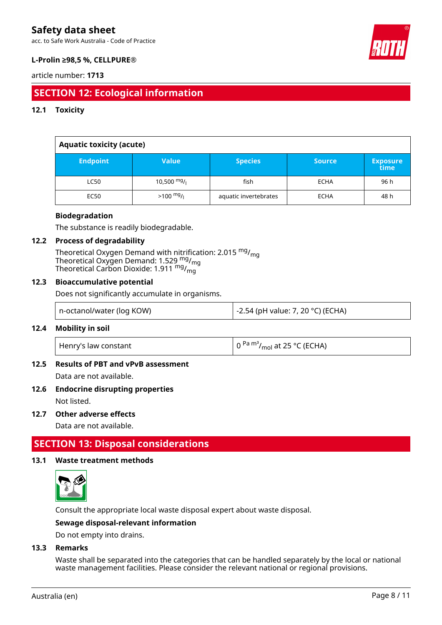acc. to Safe Work Australia - Code of Practice



### **L-Prolin ≥98,5 %, CELLPURE®**

#### article number: **1713**

# **SECTION 12: Ecological information**

#### **12.1 Toxicity**

| <b>Aquatic toxicity (acute)</b> |                     |                       |               |                         |
|---------------------------------|---------------------|-----------------------|---------------|-------------------------|
| <b>Endpoint</b>                 | <b>Value</b>        | <b>Species</b>        | <b>Source</b> | <b>Exposure</b><br>time |
| <b>LC50</b>                     | 10,500 $mg/$        | fish                  | <b>ECHA</b>   | 96 h                    |
| <b>EC50</b>                     | $>100 \frac{mg}{l}$ | aquatic invertebrates | <b>ECHA</b>   | 48 h                    |

#### **Biodegradation**

The substance is readily biodegradable.

#### **12.2 Process of degradability**

Theoretical Oxygen Demand with nitrification: 2.015 <sup>mg</sup>/<sub>mg</sub> Theoretical Oxygen Demand: 1.529  $_{\text{mg}}^{\text{mg}}$ /<sub>mg</sub> Theoretical Carbon Dioxide: 1.911 <sup>mg</sup>/<sub>mg</sub>

#### **12.3 Bioaccumulative potential**

Does not significantly accumulate in organisms.

|  |  | n-octanol/water (log KOW) | -2.54 (pH value: 7, 20 °C) (ECHA) |
|--|--|---------------------------|-----------------------------------|
|--|--|---------------------------|-----------------------------------|

#### **12.4 Mobility in soil**

| Henry's law constant | $\left(0^{Pa} \frac{m^3}{mol} \right)$ at 25 °C (ECHA) |
|----------------------|--------------------------------------------------------|
|----------------------|--------------------------------------------------------|

#### **12.5 Results of PBT and vPvB assessment**

Data are not available.

#### **12.6 Endocrine disrupting properties**

Not listed.

#### **12.7 Other adverse effects**

Data are not available.

### **SECTION 13: Disposal considerations**

#### **13.1 Waste treatment methods**



Consult the appropriate local waste disposal expert about waste disposal.

#### **Sewage disposal-relevant information**

Do not empty into drains.

#### **13.3 Remarks**

Waste shall be separated into the categories that can be handled separately by the local or national waste management facilities. Please consider the relevant national or regional provisions.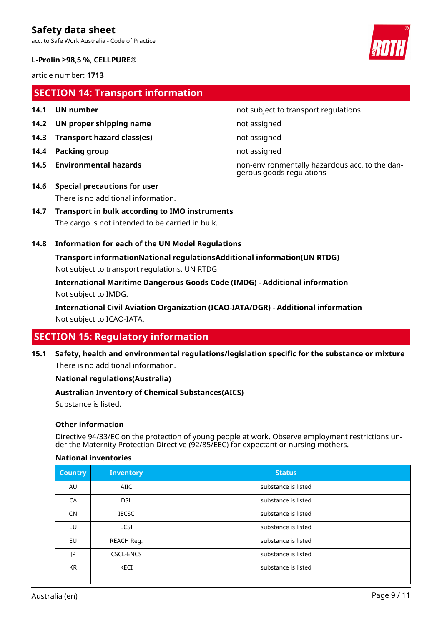acc. to Safe Work Australia - Code of Practice

#### **L-Prolin ≥98,5 %, CELLPURE®**

article number: **1713**

# **SECTION 14: Transport information**

- 
- **14.2 UN proper shipping name** not assigned
- **14.3 Transport hazard class(es)** not assigned
- **14.4 Packing group not assigned**
- 
- **14.1 UN number 14.1 UN** number

**14.5 Environmental hazards** non-environmentally hazardous acc. to the dangerous goods regulations

- **14.6 Special precautions for user** There is no additional information.
- **14.7 Transport in bulk according to IMO instruments** The cargo is not intended to be carried in bulk.

#### **14.8 Information for each of the UN Model Regulations**

**Transport informationNational regulationsAdditional information(UN RTDG)** Not subject to transport regulations. UN RTDG

**International Maritime Dangerous Goods Code (IMDG) - Additional information** Not subject to IMDG.

**International Civil Aviation Organization (ICAO-IATA/DGR) - Additional information** Not subject to ICAO-IATA.

# **SECTION 15: Regulatory information**

**15.1 Safety, health and environmental regulations/legislation specific for the substance or mixture** There is no additional information.

#### **National regulations(Australia)**

#### **Australian Inventory of Chemical Substances(AICS)**

Substance is listed.

#### **Other information**

Directive 94/33/EC on the protection of young people at work. Observe employment restrictions under the Maternity Protection Directive (92/85/EEC) for expectant or nursing mothers.

#### **National inventories**

| <b>Country</b> | <b>Inventory</b> | <b>Status</b>       |
|----------------|------------------|---------------------|
| AU             | AIIC             | substance is listed |
| CA             | <b>DSL</b>       | substance is listed |
| <b>CN</b>      | <b>IECSC</b>     | substance is listed |
| EU             | <b>ECSI</b>      | substance is listed |
| EU             | REACH Reg.       | substance is listed |
| JP             | <b>CSCL-ENCS</b> | substance is listed |
| <b>KR</b>      | KECI             | substance is listed |

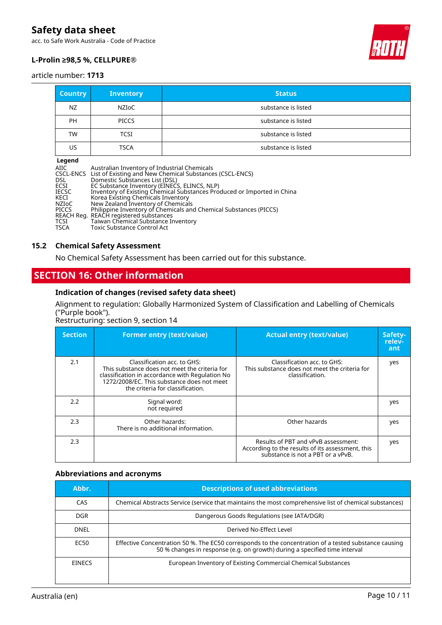acc. to Safe Work Australia - Code of Practice



#### **L-Prolin ≥98,5 %, CELLPURE®**

#### article number: **1713**

| <b>Country</b>   | <b>Inventory</b> | <b>Status</b>       |
|------------------|------------------|---------------------|
| NZ               | NZIoC            | substance is listed |
| <b>PH</b>        | <b>PICCS</b>     | substance is listed |
| <b>TW</b>        | <b>TCSI</b>      | substance is listed |
| US               | <b>TSCA</b>      | substance is listed |
| المتحدد والمنافذ |                  |                     |

| Legend                |                                              |                                                                         |
|-----------------------|----------------------------------------------|-------------------------------------------------------------------------|
| AIIC                  | Australian Inventory of Industrial Chemicals |                                                                         |
|                       |                                              | CSCL-ENCS List of Existing and New Chemical Substances (CSCL-ENCS)      |
| DSL.                  | Domestic Substances List (DSL)               |                                                                         |
| ECSI                  | EC Substance Inventory (EINECS, ELINCS, NLP) |                                                                         |
| <b>IECSC</b>          |                                              | Inventory of Existing Chemical Substances Produced or Imported in China |
| KECI                  | Korea Existing Chemicals Inventory           |                                                                         |
| NZIoC<br><b>PICCS</b> | New Zealand Inventory of Chemicals           | Philippine Inventory of Chemicals and Chemical Substances (PICCS)       |
|                       | REACH Reg. REACH registered substances       |                                                                         |
| TCSI                  | Taiwan Chemical Substance Inventory          |                                                                         |
| <b>TSCA</b>           | <b>Toxic Substance Control Act</b>           |                                                                         |
|                       |                                              |                                                                         |

#### **15.2 Chemical Safety Assessment**

No Chemical Safety Assessment has been carried out for this substance.

# **SECTION 16: Other information**

#### **Indication of changes (revised safety data sheet)**

### Alignment to regulation: Globally Harmonized System of Classification and Labelling of Chemicals ("Purple book").

Restructuring: section 9, section 14

| <b>Section</b> | <b>Former entry (text/value)</b>                                                                                                                                                                                  | <b>Actual entry (text/value)</b>                                                                                             | Safety-<br>relev-<br>ant |
|----------------|-------------------------------------------------------------------------------------------------------------------------------------------------------------------------------------------------------------------|------------------------------------------------------------------------------------------------------------------------------|--------------------------|
| 2.1            | Classification acc. to GHS:<br>This substance does not meet the criteria for<br>classification in accordance with Regulation No<br>1272/2008/EC. This substance does not meet<br>the criteria for classification. | Classification acc. to GHS:<br>This substance does not meet the criteria for<br>classification.                              | yes                      |
| 2.2            | Signal word:<br>not required                                                                                                                                                                                      |                                                                                                                              | yes                      |
| 2.3            | Other hazards:<br>There is no additional information.                                                                                                                                                             | Other hazards                                                                                                                | yes                      |
| 2.3            |                                                                                                                                                                                                                   | Results of PBT and vPvB assessment:<br>According to the results of its assessment, this<br>substance is not a PBT or a vPvB. | yes                      |

#### **Abbreviations and acronyms**

| Abbr.         | <b>Descriptions of used abbreviations</b>                                                                                                                                           |
|---------------|-------------------------------------------------------------------------------------------------------------------------------------------------------------------------------------|
| CAS           | Chemical Abstracts Service (service that maintains the most comprehensive list of chemical substances)                                                                              |
| DGR.          | Dangerous Goods Regulations (see IATA/DGR)                                                                                                                                          |
| DNEL          | Derived No-Effect Level                                                                                                                                                             |
| EC50          | Effective Concentration 50 %. The EC50 corresponds to the concentration of a tested substance causing<br>50 % changes in response (e.g. on growth) during a specified time interval |
| <b>EINECS</b> | European Inventory of Existing Commercial Chemical Substances                                                                                                                       |